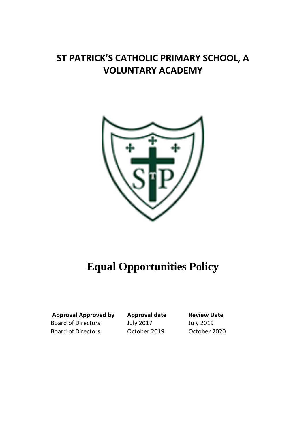# **ST PATRICK'S CATHOLIC PRIMARY SCHOOL, A VOLUNTARY ACADEMY**



# **Equal Opportunities Policy**

**Approval Approved by Approval date Review Date**  Board of Directors July 2017 July 2019 Board of Directors October 2019 October 2020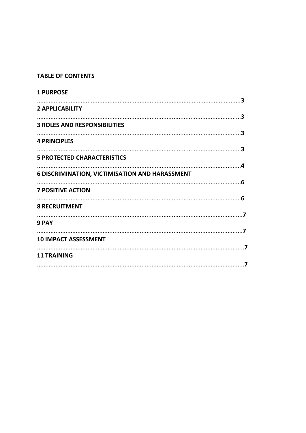#### **TABLE OF CONTENTS**

| <b>1 PURPOSE</b>                                      |  |
|-------------------------------------------------------|--|
| <b>2 APPLICABILITY</b>                                |  |
| <b>3 ROLES AND RESPONSIBILITIES</b>                   |  |
| <b>4 PRINCIPLES</b>                                   |  |
|                                                       |  |
| <b>5 PROTECTED CHARACTERISTICS</b>                    |  |
| <b>6 DISCRIMINATION, VICTIMISATION AND HARASSMENT</b> |  |
| <b>7 POSITIVE ACTION</b>                              |  |
| <b>8 RECRUITMENT</b>                                  |  |
| 9 PAY                                                 |  |
|                                                       |  |
| <b>10 IMPACT ASSESSMENT</b>                           |  |
| <b>11 TRAINING</b>                                    |  |
|                                                       |  |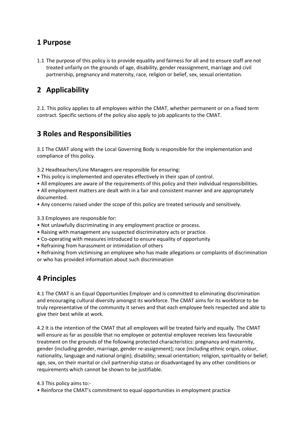#### **1 Purpose**

1.1 The purpose of this policy is to provide equality and fairness for all and to ensure staff are not treated unfairly on the grounds of age, disability, gender reassignment, marriage and civil partnership, pregnancy and maternity, race, religion or belief, sex, sexual orientation.

# **2 Applicability**

2.1. This policy applies to all employees within the CMAT, whether permanent or on a fixed term contract. Specific sections of the policy also apply to job applicants to the CMAT.

### **3 Roles and Responsibilities**

3.1 The CMAT along with the Local Governing Body is responsible for the implementation and compliance of this policy.

3.2 Headteachers/Line Managers are responsible for ensuring:

- This policy is implemented and operates effectively in their span of control.
- All employees are aware of the requirements of this policy and their individual responsibilities.
- All employment matters are dealt with in a fair and consistent manner and are appropriately documented.
- Any concerns raised under the scope of this policy are treated seriously and sensitively.
- 3.3 Employees are responsible for:
- Not unlawfully discriminating in any employment practice or process.
- Raising with management any suspected discriminatory acts or practice.
- Co-operating with measures introduced to ensure equality of opportunity
- Refraining from harassment or intimidation of others

• Refraining from victimising an employee who has made allegations or complaints of discrimination or who has provided information about such discrimination

### **4 Principles**

4.1 The CMAT is an Equal Opportunities Employer and is committed to eliminating discrimination and encouraging cultural diversity amongst its workforce. The CMAT aims for its workforce to be truly representative of the community it serves and that each employee feels respected and able to give their best while at work.

4.2 It is the intention of the CMAT that all employees will be treated fairly and equally. The CMAT will ensure as far as possible that no employee or potential employee receives less favourable treatment on the grounds of the following protected characteristics: pregnancy and maternity, gender (including gender, marriage, gender re-assignment); race (including ethnic origin, colour, nationality, language and national origin); disability; sexual orientation; religion, spirituality or belief; age, sex, on their marital or civil partnership status or disadvantaged by any other conditions or requirements which cannot be shown to be justifiable.

#### 4.3 This policy aims to:-

• Reinforce the CMAT's commitment to equal opportunities in employment practice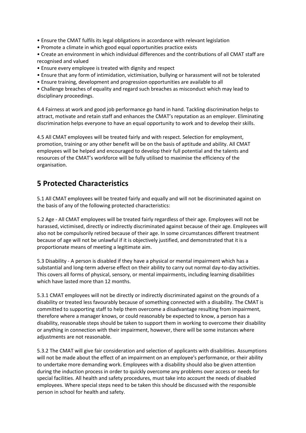• Ensure the CMAT fulfils its legal obligations in accordance with relevant legislation

- Promote a climate in which good equal opportunities practice exists
- Create an environment in which individual differences and the contributions of all CMAT staff are recognised and valued
- Ensure every employee is treated with dignity and respect
- Ensure that any form of intimidation, victimisation, bullying or harassment will not be tolerated
- Ensure training, development and progression opportunities are available to all

• Challenge breaches of equality and regard such breaches as misconduct which may lead to disciplinary proceedings.

4.4 Fairness at work and good job performance go hand in hand. Tackling discrimination helps to attract, motivate and retain staff and enhances the CMAT's reputation as an employer. Eliminating discrimination helps everyone to have an equal opportunity to work and to develop their skills.

4.5 All CMAT employees will be treated fairly and with respect. Selection for employment, promotion, training or any other benefit will be on the basis of aptitude and ability. All CMAT employees will be helped and encouraged to develop their full potential and the talents and resources of the CMAT's workforce will be fully utilised to maximise the efficiency of the organisation.

#### **5 Protected Characteristics**

5.1 All CMAT employees will be treated fairly and equally and will not be discriminated against on the basis of any of the following protected characteristics:

5.2 Age - All CMAT employees will be treated fairly regardless of their age. Employees will not be harassed, victimised, directly or indirectly discriminated against because of their age. Employees will also not be compulsorily retired because of their age. In some circumstances different treatment because of age will not be unlawful if it is objectively justified, and demonstrated that it is a proportionate means of meeting a legitimate aim.

5.3 Disability - A person is disabled if they have a physical or mental impairment which has a substantial and long-term adverse effect on their ability to carry out normal day-to-day activities. This covers all forms of physical, sensory, or mental impairments, including learning disabilities which have lasted more than 12 months.

5.3.1 CMAT employees will not be directly or indirectly discriminated against on the grounds of a disability or treated less favourably because of something connected with a disability. The CMAT is committed to supporting staff to help them overcome a disadvantage resulting from impairment, therefore where a manager knows, or could reasonably be expected to know, a person has a disability, reasonable steps should be taken to support them in working to overcome their disability or anything in connection with their impairment, however, there will be some instances where adjustments are not reasonable.

5.3.2 The CMAT will give fair consideration and selection of applicants with disabilities. Assumptions will not be made about the effect of an impairment on an employee's performance, or their ability to undertake more demanding work. Employees with a disability should also be given attention during the induction process in order to quickly overcome any problems over access or needs for special facilities. All health and safety procedures, must take into account the needs of disabled employees. Where special steps need to be taken this should be discussed with the responsible person in school for health and safety.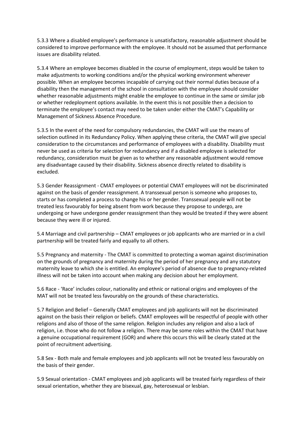5.3.3 Where a disabled employee's performance is unsatisfactory, reasonable adjustment should be considered to improve performance with the employee. It should not be assumed that performance issues are disability related.

5.3.4 Where an employee becomes disabled in the course of employment, steps would be taken to make adjustments to working conditions and/or the physical working environment wherever possible. When an employee becomes incapable of carrying out their normal duties because of a disability then the management of the school in consultation with the employee should consider whether reasonable adjustments might enable the employee to continue in the same or similar job or whether redeployment options available. In the event this is not possible then a decision to terminate the employee's contact may need to be taken under either the CMAT's Capability or Management of Sickness Absence Procedure.

5.3.5 In the event of the need for compulsory redundancies, the CMAT will use the means of selection outlined in its Redundancy Policy. When applying these criteria, the CMAT will give special consideration to the circumstances and performance of employees with a disability. Disability must never be used as criteria for selection for redundancy and if a disabled employee is selected for redundancy, consideration must be given as to whether any reasonable adjustment would remove any disadvantage caused by their disability. Sickness absence directly related to disability is excluded.

5.3 Gender Reassignment - CMAT employees or potential CMAT employees will not be discriminated against on the basis of gender reassignment. A transsexual person is someone who proposes to, starts or has completed a process to change his or her gender. Transsexual people will not be treated less favourably for being absent from work because they propose to undergo, are undergoing or have undergone gender reassignment than they would be treated if they were absent because they were ill or injured.

5.4 Marriage and civil partnership – CMAT employees or job applicants who are married or in a civil partnership will be treated fairly and equally to all others.

5.5 Pregnancy and maternity - The CMAT is committed to protecting a woman against discrimination on the grounds of pregnancy and maternity during the period of her pregnancy and any statutory maternity leave to which she is entitled. An employee's period of absence due to pregnancy-related illness will not be taken into account when making any decision about her employment.

5.6 Race - 'Race' includes colour, nationality and ethnic or national origins and employees of the MAT will not be treated less favourably on the grounds of these characteristics.

5.7 Religion and Belief – Generally CMAT employees and job applicants will not be discriminated against on the basis their religion or beliefs. CMAT employees will be respectful of people with other religions and also of those of the same religion. Religion includes any religion and also a lack of religion, i.e. those who do not follow a religion. There may be some roles within the CMAT that have a genuine occupational requirement (GOR) and where this occurs this will be clearly stated at the point of recruitment advertising.

5.8 Sex - Both male and female employees and job applicants will not be treated less favourably on the basis of their gender.

5.9 Sexual orientation - CMAT employees and job applicants will be treated fairly regardless of their sexual orientation, whether they are bisexual, gay, heterosexual or lesbian.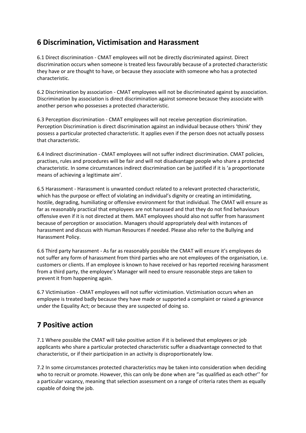### **6 Discrimination, Victimisation and Harassment**

6.1 Direct discrimination - CMAT employees will not be directly discriminated against. Direct discrimination occurs when someone is treated less favourably because of a protected characteristic they have or are thought to have, or because they associate with someone who has a protected characteristic.

6.2 Discrimination by association - CMAT employees will not be discriminated against by association. Discrimination by association is direct discrimination against someone because they associate with another person who possesses a protected characteristic.

6.3 Perception discrimination - CMAT employees will not receive perception discrimination. Perception Discrimination is direct discrimination against an individual because others 'think' they possess a particular protected characteristic. It applies even if the person does not actually possess that characteristic.

6.4 Indirect discrimination - CMAT employees will not suffer indirect discrimination. CMAT policies, practises, rules and procedures will be fair and will not disadvantage people who share a protected characteristic. In some circumstances indirect discrimination can be justified if it is 'a proportionate means of achieving a legitimate aim'.

6.5 Harassment - Harassment is unwanted conduct related to a relevant protected characteristic, which has the purpose or effect of violating an individual's dignity or creating an intimidating, hostile, degrading, humiliating or offensive environment for that individual*.* The CMAT will ensure as far as reasonably practical that employees are not harassed and that they do not find behaviours offensive even if it is not directed at them. MAT employees should also not suffer from harassment because of perception or association. Managers should appropriately deal with instances of harassment and discuss with Human Resources if needed. Please also refer to the Bullying and Harassment Policy.

6.6 Third party harassment - As far as reasonably possible the CMAT will ensure it's employees do not suffer any form of harassment from third parties who are not employees of the organisation, i.e. customers or clients. If an employee is known to have received or has reported receiving harassment from a third party, the employee's Manager will need to ensure reasonable steps are taken to prevent it from happening again.

6.7 Victimisation - CMAT employees will not suffer victimisation. Victimisation occurs when an employee is treated badly because they have made or supported a complaint or raised a grievance under the Equality Act; or because they are suspected of doing so.

# **7 Positive action**

7.1 Where possible the CMAT will take positive action if it is believed that employees or job applicants who share a particular protected characteristic suffer a disadvantage connected to that characteristic, or if their participation in an activity is disproportionately low.

7.2 In some circumstances protected characteristics may be taken into consideration when deciding who to recruit or promote. However, this can only be done when are "as qualified as each other'' for a particular vacancy, meaning that selection assessment on a range of criteria rates them as equally capable of doing the job.